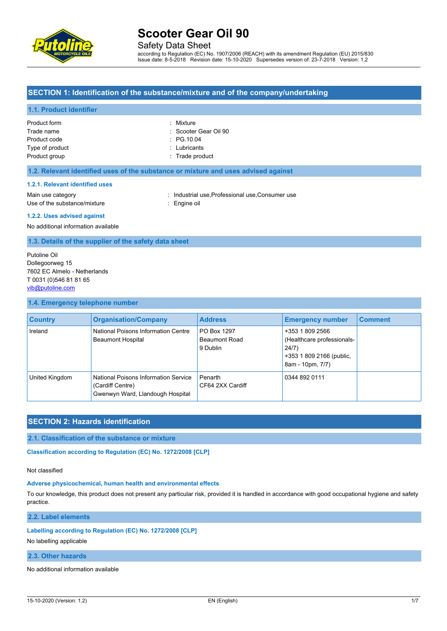

Safety Data Sheet

according to Regulation (EC) No. 1907/2006 (REACH) with its amendment Regulation (EU) 2015/830 Issue date: 8-5-2018 Revision date: 15-10-2020 Supersedes version of: 23-7-2018 Version: 1.2

## **SECTION 1: Identification of the substance/mixture and of the company/undertaking**

## **1.1. Product identifier**

| Product form    | : Mixture             |
|-----------------|-----------------------|
| Trade name      | : Scooter Gear Oil 90 |
| Product code    | $\therefore$ PG 10.04 |
| Type of product | $:$ Lubricants        |
| Product group   | : Trade product       |

## **1.2. Relevant identified uses of the substance or mixture and uses advised against**

## **1.2.1. Relevant identified uses**

Main use category **industrial use, Professional use, Consumer use** in Main use category Use of the substance/mixture **in the substance** in the set of the substance in the set of the substance in the set of the set of the set of the set of the set of the set of the set of the set of the set of the set of the s

### **1.2.2. Uses advised against**

No additional information available

## **1.3. Details of the supplier of the safety data sheet**

Putoline Oil Dollegoorweg 15 7602 EC Almelo - Netherlands T 0031 (0)546 81 81 65 [vib@putoline.com](mailto:vib@putoline.com)

## **1.4. Emergency telephone number**

| <b>Country</b> | <b>Organisation/Company</b>                                                                  | <b>Address</b>                                  | <b>Emergency number</b>                                                                                | <b>Comment</b> |
|----------------|----------------------------------------------------------------------------------------------|-------------------------------------------------|--------------------------------------------------------------------------------------------------------|----------------|
| Ireland        | National Poisons Information Centre<br><b>Beaumont Hospital</b>                              | PO Box 1297<br><b>Beaumont Road</b><br>9 Dublin | +353 1 809 2566<br>(Healthcare professionals-<br>24/7)<br>+353 1 809 2166 (public,<br>8am - 10pm, 7/7) |                |
| United Kingdom | National Poisons Information Service<br>(Cardiff Centre)<br>Gwenwyn Ward, Llandough Hospital | Penarth<br>CF64 2XX Cardiff                     | 0344 892 0111                                                                                          |                |

# **SECTION 2: Hazards identification**

## **2.1. Classification of the substance or mixture**

**Classification according to Regulation (EC) No. 1272/2008 [CLP]** 

### Not classified

#### **Adverse physicochemical, human health and environmental effects**

To our knowledge, this product does not present any particular risk, provided it is handled in accordance with good occupational hygiene and safety practice.

**2.2. Label elements**

## **Labelling according to Regulation (EC) No. 1272/2008 [CLP]**

No labelling applicable

## **2.3. Other hazards**

No additional information available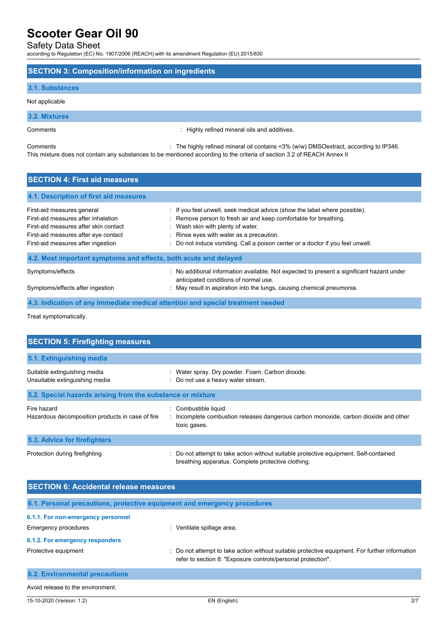## Safety Data Sheet

according to Regulation (EC) No. 1907/2006 (REACH) with its amendment Regulation (EU) 2015/830

## **SECTION 3: Composition/information on ingredients**

## **3.1. Substances**

Not applicable

**3.2. Mixtures**

Comments : Highly refined mineral oils and additives.

Comments : The highly refined mineral oil contains <3% (w/w) DMSOextract, according to IP346. This mixture does not contain any substances to be mentioned according to the criteria of section 3.2 of REACH Annex II

# **SECTION 4: First aid measures 4.1. Description of first aid measures** First-aid measures general intereduced in the label where possible). First-aid measures general intereduced in the label where possible). First-aid measures after inhalation : Remove person to fresh air and keep comfortable for breathing. First-aid measures after skin contact : Wash skin with plenty of water. First-aid measures after eye contact : Rinse eyes with water as a precaution. First-aid measures after ingestion : Do not induce vomiting. Call a poison center or a doctor if you feel unwell. **4.2. Most important symptoms and effects, both acute and delayed** Symptoms/effects : No additional information available. Not expected to present a significant hazard under anticipated conditions of normal use. Symptoms/effects after ingestion : May result in aspiration into the lungs, causing chemical pneumonia.

## **4.3. Indication of any immediate medical attention and special treatment needed**

Treat symptomatically.

| <b>SECTION 5: Firefighting measures</b>                         |                                                                                                                                             |
|-----------------------------------------------------------------|---------------------------------------------------------------------------------------------------------------------------------------------|
| 5.1. Extinguishing media                                        |                                                                                                                                             |
| Suitable extinguishing media<br>Unsuitable extinguishing media  | : Water spray. Dry powder. Foam. Carbon dioxide.<br>: Do not use a heavy water stream.                                                      |
| 5.2. Special hazards arising from the substance or mixture      |                                                                                                                                             |
| Fire hazard<br>Hazardous decomposition products in case of fire | : Combustible liquid.<br>: Incomplete combustion releases dangerous carbon monoxide, carbon dioxide and other<br>toxic gases.               |
| 5.3. Advice for firefighters                                    |                                                                                                                                             |
| Protection during firefighting                                  | : Do not attempt to take action without suitable protective equipment. Self-contained<br>breathing apparatus. Complete protective clothing. |

| <b>SECTION 6: Accidental release measures</b> |                                                                                                                                                                |  |  |
|-----------------------------------------------|----------------------------------------------------------------------------------------------------------------------------------------------------------------|--|--|
|                                               | 6.1. Personal precautions, protective equipment and emergency procedures                                                                                       |  |  |
| 6.1.1. For non-emergency personnel            |                                                                                                                                                                |  |  |
| Emergency procedures                          | : Ventilate spillage area.                                                                                                                                     |  |  |
| 6.1.2. For emergency responders               |                                                                                                                                                                |  |  |
| Protective equipment                          | : Do not attempt to take action without suitable protective equipment. For further information<br>refer to section 8: "Exposure controls/personal protection". |  |  |
| <b>6.2. Environmental precautions</b>         |                                                                                                                                                                |  |  |
| Avoid release to the environment.             |                                                                                                                                                                |  |  |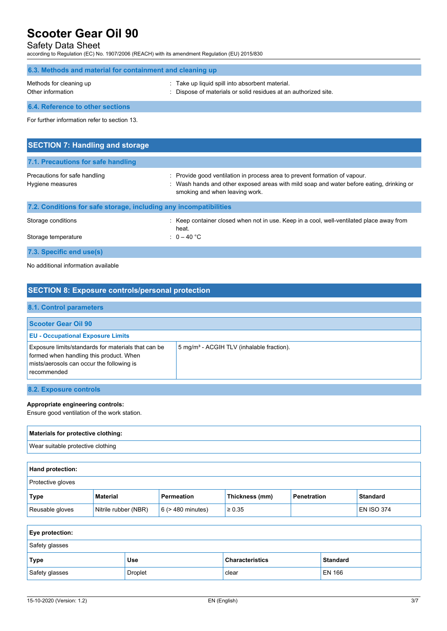# Safety Data Sheet

according to Regulation (EC) No. 1907/2006 (REACH) with its amendment Regulation (EU) 2015/830

| 6.3. Methods and material for containment and cleaning up         |                                                                                                                                                                                                          |  |
|-------------------------------------------------------------------|----------------------------------------------------------------------------------------------------------------------------------------------------------------------------------------------------------|--|
| Methods for cleaning up<br>Other information                      | : Take up liquid spill into absorbent material.<br>Dispose of materials or solid residues at an authorized site.                                                                                         |  |
| 6.4. Reference to other sections                                  |                                                                                                                                                                                                          |  |
| For further information refer to section 13.                      |                                                                                                                                                                                                          |  |
|                                                                   |                                                                                                                                                                                                          |  |
| <b>SECTION 7: Handling and storage</b>                            |                                                                                                                                                                                                          |  |
| 7.1. Precautions for safe handling                                |                                                                                                                                                                                                          |  |
| Precautions for safe handling<br>Hygiene measures                 | : Provide good ventilation in process area to prevent formation of vapour.<br>: Wash hands and other exposed areas with mild soap and water before eating, drinking or<br>smoking and when leaving work. |  |
| 7.2. Conditions for safe storage, including any incompatibilities |                                                                                                                                                                                                          |  |

| $1.1$ and $2.1$ and $3.1$ and $3.1$ and $3.1$ and $3.1$ and $3.1$ and $3.1$ and $3.1$ and $3.1$ and $3.1$ |                                                                                                 |
|-----------------------------------------------------------------------------------------------------------|-------------------------------------------------------------------------------------------------|
| Storage conditions                                                                                        | Keep container closed when not in use. Keep in a cool, well-ventilated place away from<br>heat. |
| Storage temperature                                                                                       | $0 - 40$ °C                                                                                     |
| 7.3. Specific end use(s)                                                                                  |                                                                                                 |

No additional information available

| <b>SECTION 8: Exposure controls/personal protection</b>                                                                                                    |                                                       |  |
|------------------------------------------------------------------------------------------------------------------------------------------------------------|-------------------------------------------------------|--|
| 8.1. Control parameters                                                                                                                                    |                                                       |  |
| <b>Scooter Gear Oil 90</b>                                                                                                                                 |                                                       |  |
| <b>EU - Occupational Exposure Limits</b>                                                                                                                   |                                                       |  |
| Exposure limits/standards for materials that can be<br>formed when handling this product. When<br>mists/aerosols can occur the following is<br>recommended | 5 mg/m <sup>3</sup> - ACGIH TLV (inhalable fraction). |  |
| 8.2. Exposure controls                                                                                                                                     |                                                       |  |

## **Appropriate engineering controls:**

Ensure good ventilation of the work station.

| Materials for protective clothing: |  |
|------------------------------------|--|
| Wear suitable protective clothing  |  |
|                                    |  |

| <b>Hand protection:</b>  |                      |                        |                |             |                   |
|--------------------------|----------------------|------------------------|----------------|-------------|-------------------|
| <b>Protective gloves</b> |                      |                        |                |             |                   |
| Type                     | Material             | <b>Permeation</b>      | Thickness (mm) | Penetration | <b>Standard</b>   |
| Reusable gloves          | Nitrile rubber (NBR) | $6$ ( $>$ 480 minutes) | $\ge 0.35$     |             | <b>EN ISO 374</b> |

| <b>Eye protection:</b> |         |                        |                 |
|------------------------|---------|------------------------|-----------------|
| Safety glasses         |         |                        |                 |
| Type                   | Use     | <b>Characteristics</b> | <b>Standard</b> |
| Safety glasses         | Droplet | clear                  | <b>EN 166</b>   |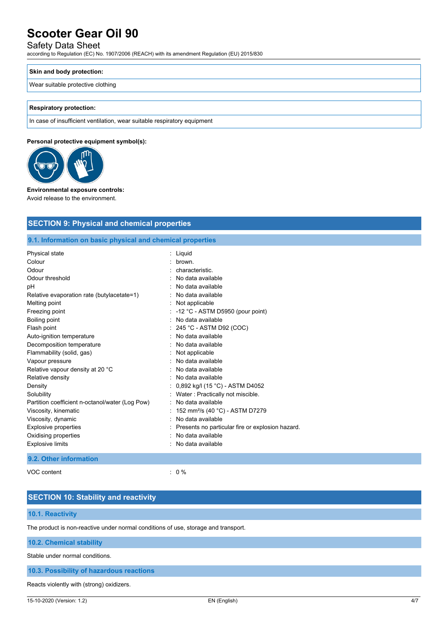# Safety Data Sheet

according to Regulation (EC) No. 1907/2006 (REACH) with its amendment Regulation (EU) 2015/830

### **Skin and body protection:**

## Wear suitable protective clothing

## **Respiratory protection:**

In case of insufficient ventilation, wear suitable respiratory equipment

## **Personal protective equipment symbol(s):**



### **Environmental exposure controls:**

Avoid release to the environment.

| <b>SECTION 9: Physical and chemical properties</b>         |                                                  |
|------------------------------------------------------------|--------------------------------------------------|
| 9.1. Information on basic physical and chemical properties |                                                  |
| Physical state                                             | : Liquid                                         |
| Colour                                                     | brown.                                           |
| Odour                                                      | characteristic                                   |
| Odour threshold                                            | No data available                                |
| рH                                                         | No data available                                |
| Relative evaporation rate (butylacetate=1)                 | No data available                                |
| Melting point                                              | Not applicable                                   |
| Freezing point                                             | -12 °C - ASTM D5950 (pour point)                 |
| Boiling point                                              | No data available                                |
| Flash point                                                | 245 °C - ASTM D92 (COC)                          |
| Auto-ignition temperature                                  | No data available                                |
| Decomposition temperature                                  | No data available                                |
| Flammability (solid, gas)                                  | Not applicable                                   |
| Vapour pressure                                            | No data available                                |
| Relative vapour density at 20 °C                           | No data available                                |
| Relative density                                           | No data available                                |
| Density                                                    | 0,892 kg/l (15 °C) - ASTM D4052                  |
| Solubility                                                 | Water: Practically not miscible.                 |
| Partition coefficient n-octanol/water (Log Pow)            | No data available                                |
| Viscosity, kinematic                                       | 152 mm <sup>2</sup> /s (40 °C) - ASTM D7279      |
| Viscosity, dynamic                                         | No data available                                |
| <b>Explosive properties</b>                                | Presents no particular fire or explosion hazard. |

# **9.2. Other information**

VOC content : 0 %

# **SECTION 10: Stability and reactivity**

# **10.1. Reactivity**

The product is non-reactive under normal conditions of use, storage and transport.

Oxidising properties **in the contract of the Contract August** 2001 : No data available Explosive limits **Explosive limits Explosive limits Explosive limits Explosive limits Explosive limits EXPLOSIVE 2018** 

## **10.2. Chemical stability**

Stable under normal conditions.

## **10.3. Possibility of hazardous reactions**

Reacts violently with (strong) oxidizers.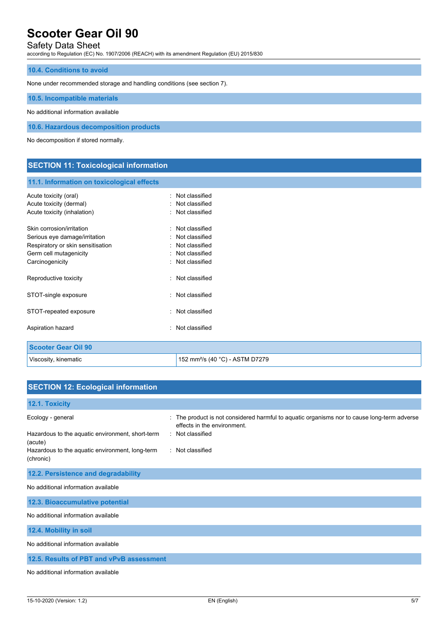# Safety Data Sheet

according to Regulation (EC) No. 1907/2006 (REACH) with its amendment Regulation (EU) 2015/830

## **10.4. Conditions to avoid**

None under recommended storage and handling conditions (see section 7).

## **10.5. Incompatible materials**

No additional information available

**10.6. Hazardous decomposition products**

No decomposition if stored normally.

# **SECTION 11: Toxicological information**

## **11.1. Information on toxicological effects**

| Acute toxicity (oral)<br>Acute toxicity (dermal)<br>Acute toxicity (inhalation)                                                              | Not classified<br>Not classified<br>: Not classified                                       |
|----------------------------------------------------------------------------------------------------------------------------------------------|--------------------------------------------------------------------------------------------|
| Skin corrosion/irritation<br>Serious eye damage/irritation<br>Respiratory or skin sensitisation<br>Germ cell mutagenicity<br>Carcinogenicity | Not classified<br>Not classified<br>Not classified<br>: Not classified<br>: Not classified |
| Reproductive toxicity                                                                                                                        | Not classified                                                                             |
| STOT-single exposure                                                                                                                         | Not classified                                                                             |
| STOT-repeated exposure                                                                                                                       | Not classified                                                                             |
| Aspiration hazard                                                                                                                            | Not classified                                                                             |
| <b>Scooter Gear Oil 90</b>                                                                                                                   |                                                                                            |
|                                                                                                                                              |                                                                                            |

Viscosity, kinematic **152 mm**<sup>2</sup>/s (40 °C) - ASTM D7279

| <b>SECTION 12: Ecological information</b>                    |                                                                                                                               |  |  |  |
|--------------------------------------------------------------|-------------------------------------------------------------------------------------------------------------------------------|--|--|--|
| 12.1. Toxicity                                               |                                                                                                                               |  |  |  |
| Ecology - general                                            | The product is not considered harmful to aquatic organisms nor to cause long-term adverse<br>÷<br>effects in the environment. |  |  |  |
| Hazardous to the aquatic environment, short-term<br>(acute)  | : Not classified                                                                                                              |  |  |  |
| Hazardous to the aquatic environment, long-term<br>(chronic) | : Not classified                                                                                                              |  |  |  |
| 12.2. Persistence and degradability                          |                                                                                                                               |  |  |  |
| No additional information available                          |                                                                                                                               |  |  |  |
| 12.3. Bioaccumulative potential                              |                                                                                                                               |  |  |  |
| No additional information available                          |                                                                                                                               |  |  |  |
| 12.4. Mobility in soil                                       |                                                                                                                               |  |  |  |
| No additional information available                          |                                                                                                                               |  |  |  |
| 12.5. Results of PBT and vPvB assessment                     |                                                                                                                               |  |  |  |
| No additional information available                          |                                                                                                                               |  |  |  |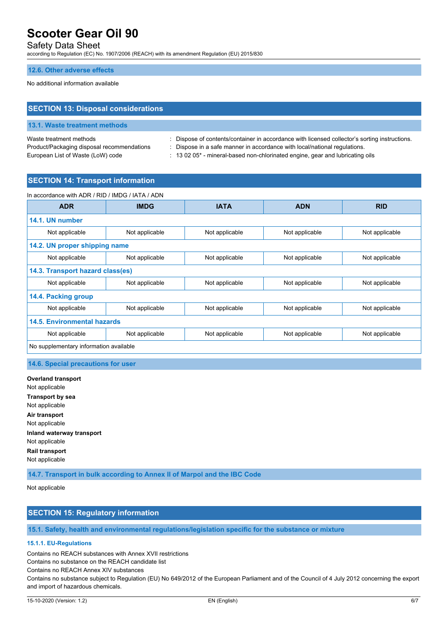## Safety Data Sheet

according to Regulation (EC) No. 1907/2006 (REACH) with its amendment Regulation (EU) 2015/830

### **12.6. Other adverse effects**

No additional information available

## **SECTION 13: Disposal considerations**

### **13.1. Waste treatment methods**

Product/Packaging disposal recommendations : Dispose in a safe manner in accordance with local/national regulations. European List of Waste (LoW) code : 13 02 05<sup>\*</sup> - mineral-based non-chlorinated engine, gear and lubricating oils

Waste treatment methods : Dispose of contents/container in accordance with licensed collector's sorting instructions.

## **SECTION 14: Transport information**

| In accordance with ADR / RID / IMDG / IATA / ADN |                |                |                |                |
|--------------------------------------------------|----------------|----------------|----------------|----------------|
| <b>ADR</b>                                       | <b>IMDG</b>    | <b>IATA</b>    | <b>ADN</b>     | <b>RID</b>     |
| 14.1. UN number                                  |                |                |                |                |
| Not applicable                                   | Not applicable | Not applicable | Not applicable | Not applicable |
| 14.2. UN proper shipping name                    |                |                |                |                |
| Not applicable                                   | Not applicable | Not applicable | Not applicable | Not applicable |
| 14.3. Transport hazard class(es)                 |                |                |                |                |
| Not applicable                                   | Not applicable | Not applicable | Not applicable | Not applicable |
| 14.4. Packing group                              |                |                |                |                |
| Not applicable                                   | Not applicable | Not applicable | Not applicable | Not applicable |
| 14.5. Environmental hazards                      |                |                |                |                |
| Not applicable                                   | Not applicable | Not applicable | Not applicable | Not applicable |
| No supplementary information available           |                |                |                |                |

## **14.6. Special precautions for user**

**Overland transport** Not applicable **Transport by sea** Not applicable **Air transport** Not applicable **Inland waterway transport** Not applicable **Rail transport** Not applicable

**14.7. Transport in bulk according to Annex II of Marpol and the IBC Code**

Not applicable

# **SECTION 15: Regulatory information**

## **15.1. Safety, health and environmental regulations/legislation specific for the substance or mixture**

# **15.1.1. EU-Regulations**

Contains no REACH substances with Annex XVII restrictions

Contains no substance on the REACH candidate list

Contains no REACH Annex XIV substances

Contains no substance subject to Regulation (EU) No 649/2012 of the European Parliament and of the Council of 4 July 2012 concerning the export and import of hazardous chemicals.